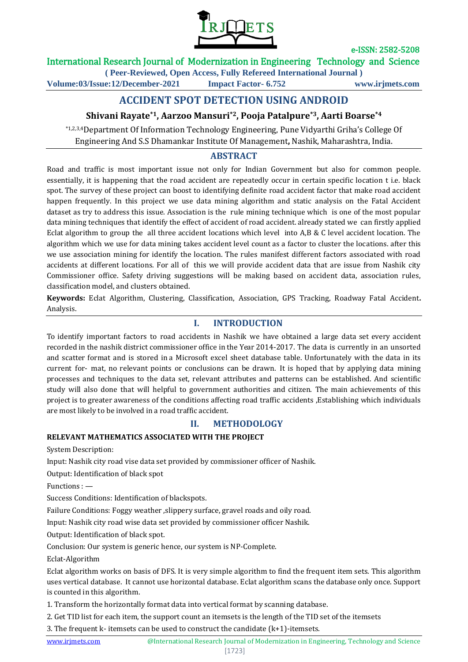

e-ISSN: 2582-5208

## International Research Journal of Modernization in Engineering Technology and Science

**( Peer-Reviewed, Open Access, Fully Refereed International Journal ) Volume:03/Issue:12/December-2021 Impact Factor- 6.752 www.irjmets.com**

# **ACCIDENT SPOT DETECTION USING ANDROID**

# **Shivani Rayate\*1, Aarzoo Mansuri\*2, Pooja Patalpure\*3, Aarti Boarse\*4**

\*1,2,3,4Department Of Information Technology Engineering, Pune Vidyarthi Griha's College Of Engineering And S.S Dhamankar Institute Of Management**,** Nashik, Maharashtra, India.

# **ABSTRACT**

Road and traffic is most important issue not only for Indian Government but also for common people. essentially, it is happening that the road accident are repeatedly occur in certain specific location t i.e. black spot. The survey of these project can boost to identifying definite road accident factor that make road accident happen frequently. In this project we use data mining algorithm and static analysis on the Fatal Accident dataset as try to address this issue. Association is the rule mining technique which is one of the most popular data mining techniques that identify the effect of accident of road accident. already stated we can firstly applied Eclat algorithm to group the all three accident locations which level into A,B & C level accident location. The algorithm which we use for data mining takes accident level count as a factor to cluster the locations. after this we use association mining for identify the location. The rules manifest different factors associated with road accidents at different locations. For all of this we will provide accident data that are issue from Nashik city Commissioner office. Safety driving suggestions will be making based on accident data, association rules, classification model, and clusters obtained.

**Keywords:** Eclat Algorithm, Clustering, Classification, Association, GPS Tracking, Roadway Fatal Accident**.** Analysis.

## **I. INTRODUCTION**

To identify important factors to road accidents in Nashik we have obtained a large data set every accident recorded in the nashik district commissioner office in the Year 2014-2017. The data is currently in an unsorted and scatter format and is stored in a Microsoft excel sheet database table. Unfortunately with the data in its current for- mat, no relevant points or conclusions can be drawn. It is hoped that by applying data mining processes and techniques to the data set, relevant attributes and patterns can be established. And scientific study will also done that will helpful to government authorities and citizen. The main achievements of this project is to greater awareness of the conditions affecting road traffic accidents ,Establishing which individuals are most likely to be involved in a road traffic accident.

# **II. METHODOLOGY**

### **RELEVANT MATHEMATICS ASSOCIATED WITH THE PROJECT**

System Description:

Input: Nashik city road vise data set provided by commissioner officer of Nashik.

Output: Identification of black spot

Functions : —

Success Conditions: Identification of blackspots.

Failure Conditions: Foggy weather ,slippery surface, gravel roads and oily road.

Input: Nashik city road wise data set provided by commissioner officer Nashik.

Output: Identification of black spot.

Conclusion: Our system is generic hence, our system is NP-Complete.

Eclat-Algorithm

Eclat algorithm works on basis of DFS. It is very simple algorithm to find the frequent item sets. This algorithm uses vertical database. It cannot use horizontal database. Eclat algorithm scans the database only once. Support is counted in this algorithm.

1. Transform the horizontally format data into vertical format by scanning database.

2. Get TID list for each item, the support count an itemsets is the length of the TID set of the itemsets

3. The frequent k- itemsets can be used to construct the candidate (k+1)-itemsets.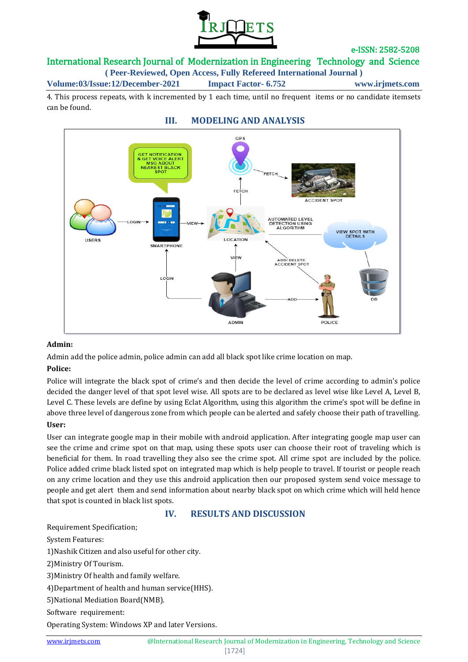

e-ISSN: 2582-5208

## International Research Journal of Modernization in Engineering Technology and Science

**( Peer-Reviewed, Open Access, Fully Refereed International Journal )**

**Volume:03/Issue:12/December-2021 Impact Factor- 6.752 www.irjmets.com**

4. This process repeats, with k incremented by 1 each time, until no frequent items or no candidate itemsets can be found.

**III. MODELING AND ANALYSIS**

# $GDS$ **GET NOTIFICATION** C ABOUT NEARE ST BLACK EE **ACCIDENT SPOT AUTOMATED LEVEL<br>DETECTION USING<br>ALGORITHM** VIEW SPOT WITH **LOCATION HEEPS SMARTPHONE**  $n \in \mathbb{N}$ ADD DELETE<br>ACCIDENT SPOT POLICE ADMIN

### **Admin:**

Admin add the police admin, police admin can add all black spot like crime location on map.

### **Police:**

Police will integrate the black spot of crime's and then decide the level of crime according to admin's police decided the danger level of that spot level wise. All spots are to be declared as level wise like Level A, Level B, Level C. These levels are define by using Eclat Algorithm, using this algorithm the crime's spot will be define in above three level of dangerous zone from which people can be alerted and safely choose their path of travelling.

### **User:**

User can integrate google map in their mobile with android application. After integrating google map user can see the crime and crime spot on that map, using these spots user can choose their root of traveling which is beneficial for them. In road travelling they also see the crime spot. All crime spot are included by the police. Police added crime black listed spot on integrated map which is help people to travel. If tourist or people reach on any crime location and they use this android application then our proposed system send voice message to people and get alert them and send information about nearby black spot on which crime which will held hence that spot is counted in black list spots.

## **IV. RESULTS AND DISCUSSION**

Requirement Specification;

System Features:

1)Nashik Citizen and also useful for other city.

2)Ministry Of Tourism.

3)Ministry Of health and family welfare.

4)Department of health and human service(HHS).

5)National Mediation Board(NMB).

Software requirement:

Operating System: Windows XP and later Versions.